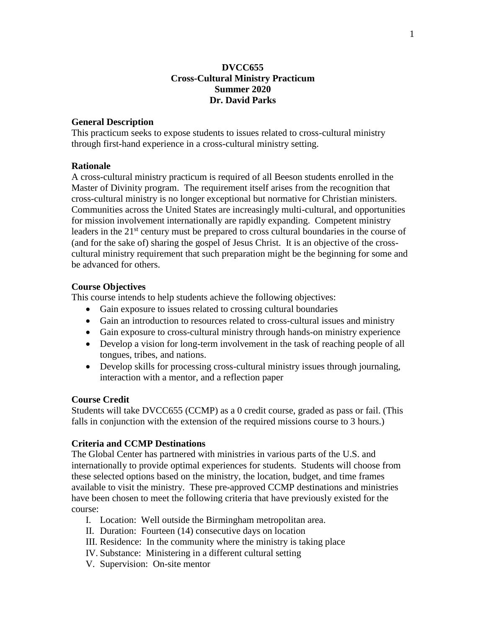## **DVCC655 Cross-Cultural Ministry Practicum Summer 2020 Dr. David Parks**

### **General Description**

This practicum seeks to expose students to issues related to cross-cultural ministry through first-hand experience in a cross-cultural ministry setting.

### **Rationale**

A cross-cultural ministry practicum is required of all Beeson students enrolled in the Master of Divinity program. The requirement itself arises from the recognition that cross-cultural ministry is no longer exceptional but normative for Christian ministers. Communities across the United States are increasingly multi-cultural, and opportunities for mission involvement internationally are rapidly expanding. Competent ministry leaders in the 21<sup>st</sup> century must be prepared to cross cultural boundaries in the course of (and for the sake of) sharing the gospel of Jesus Christ. It is an objective of the crosscultural ministry requirement that such preparation might be the beginning for some and be advanced for others.

### **Course Objectives**

This course intends to help students achieve the following objectives:

- Gain exposure to issues related to crossing cultural boundaries
- Gain an introduction to resources related to cross-cultural issues and ministry
- Gain exposure to cross-cultural ministry through hands-on ministry experience
- Develop a vision for long-term involvement in the task of reaching people of all tongues, tribes, and nations.
- Develop skills for processing cross-cultural ministry issues through journaling, interaction with a mentor, and a reflection paper

#### **Course Credit**

Students will take DVCC655 (CCMP) as a 0 credit course, graded as pass or fail. (This falls in conjunction with the extension of the required missions course to 3 hours.)

### **Criteria and CCMP Destinations**

The Global Center has partnered with ministries in various parts of the U.S. and internationally to provide optimal experiences for students. Students will choose from these selected options based on the ministry, the location, budget, and time frames available to visit the ministry. These pre-approved CCMP destinations and ministries have been chosen to meet the following criteria that have previously existed for the course:

- I. Location: Well outside the Birmingham metropolitan area.
- II. Duration: Fourteen (14) consecutive days on location
- III. Residence: In the community where the ministry is taking place
- IV. Substance: Ministering in a different cultural setting
- V. Supervision: On-site mentor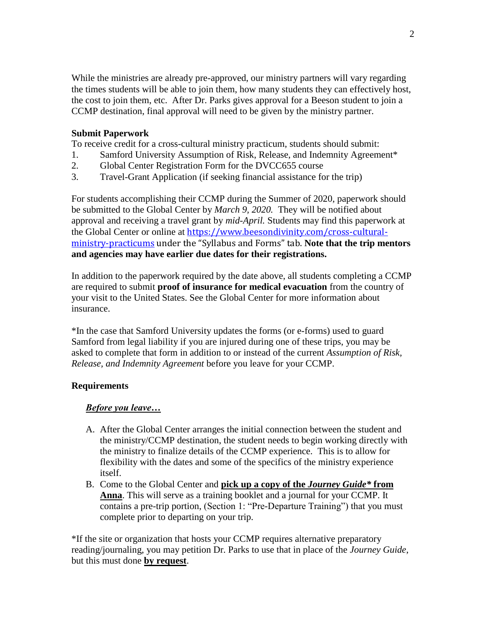While the ministries are already pre-approved, our ministry partners will vary regarding the times students will be able to join them, how many students they can effectively host, the cost to join them, etc. After Dr. Parks gives approval for a Beeson student to join a CCMP destination, final approval will need to be given by the ministry partner.

# **Submit Paperwork**

To receive credit for a cross-cultural ministry practicum, students should submit:

- 1. Samford University Assumption of Risk, Release, and Indemnity Agreement\*
- 2. Global Center Registration Form for the DVCC655 course
- 3. Travel-Grant Application (if seeking financial assistance for the trip)

For students accomplishing their CCMP during the Summer of 2020, paperwork should be submitted to the Global Center by *March 9, 2020.* They will be notified about approval and receiving a travel grant by *mid-April.* Students may find this paperwork at the Global Center or online at [https://www.beesondivinity.com/cross-cultural](https://www.beesondivinity.com/cross-cultural-ministry-practicums)[ministry-practicums](https://www.beesondivinity.com/cross-cultural-ministry-practicums) under the "Syllabus and Forms" tab. **Note that the trip mentors and agencies may have earlier due dates for their registrations.**

In addition to the paperwork required by the date above, all students completing a CCMP are required to submit **proof of insurance for medical evacuation** from the country of your visit to the United States. See the Global Center for more information about insurance.

\*In the case that Samford University updates the forms (or e-forms) used to guard Samford from legal liability if you are injured during one of these trips, you may be asked to complete that form in addition to or instead of the current *Assumption of Risk, Release, and Indemnity Agreement* before you leave for your CCMP.

# **Requirements**

# *Before you leave…*

- A. After the Global Center arranges the initial connection between the student and the ministry/CCMP destination, the student needs to begin working directly with the ministry to finalize details of the CCMP experience. This is to allow for flexibility with the dates and some of the specifics of the ministry experience itself.
- B. Come to the Global Center and **pick up a copy of the** *Journey Guide\** **from Anna**. This will serve as a training booklet and a journal for your CCMP. It contains a pre-trip portion, (Section 1: "Pre-Departure Training") that you must complete prior to departing on your trip.

\*If the site or organization that hosts your CCMP requires alternative preparatory reading/journaling, you may petition Dr. Parks to use that in place of the *Journey Guide*, but this must done **by request**.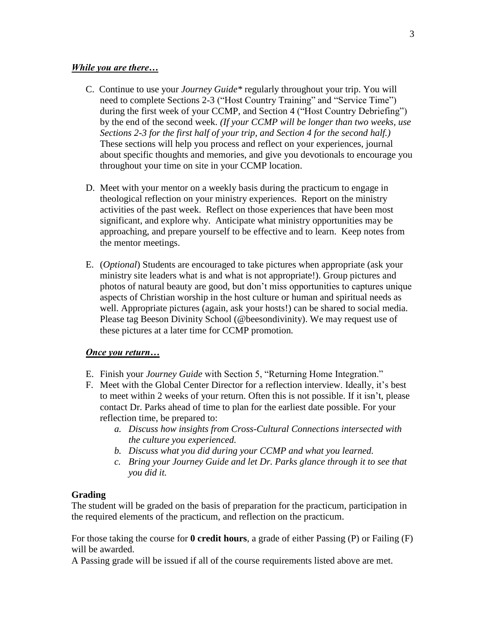### *While you are there…*

- C. Continue to use your *Journey Guide\** regularly throughout your trip. You will need to complete Sections 2-3 ("Host Country Training" and "Service Time") during the first week of your CCMP, and Section 4 ("Host Country Debriefing") by the end of the second week. *(If your CCMP will be longer than two weeks, use Sections 2-3 for the first half of your trip, and Section 4 for the second half.)* These sections will help you process and reflect on your experiences, journal about specific thoughts and memories, and give you devotionals to encourage you throughout your time on site in your CCMP location.
- D. Meet with your mentor on a weekly basis during the practicum to engage in theological reflection on your ministry experiences. Report on the ministry activities of the past week. Reflect on those experiences that have been most significant, and explore why. Anticipate what ministry opportunities may be approaching, and prepare yourself to be effective and to learn. Keep notes from the mentor meetings.
- E. (*Optional*) Students are encouraged to take pictures when appropriate (ask your ministry site leaders what is and what is not appropriate!). Group pictures and photos of natural beauty are good, but don't miss opportunities to captures unique aspects of Christian worship in the host culture or human and spiritual needs as well. Appropriate pictures (again, ask your hosts!) can be shared to social media. Please tag Beeson Divinity School (@beesondivinity). We may request use of these pictures at a later time for CCMP promotion.

#### *Once you return…*

- E. Finish your *Journey Guide* with Section 5, "Returning Home Integration."
- F. Meet with the Global Center Director for a reflection interview. Ideally, it's best to meet within 2 weeks of your return. Often this is not possible. If it isn't, please contact Dr. Parks ahead of time to plan for the earliest date possible. For your reflection time, be prepared to:
	- *a. Discuss how insights from Cross-Cultural Connections intersected with the culture you experienced.*
	- *b. Discuss what you did during your CCMP and what you learned.*
	- *c. Bring your Journey Guide and let Dr. Parks glance through it to see that you did it.*

#### **Grading**

The student will be graded on the basis of preparation for the practicum, participation in the required elements of the practicum, and reflection on the practicum.

For those taking the course for **0 credit hours**, a grade of either Passing (P) or Failing (F) will be awarded.

A Passing grade will be issued if all of the course requirements listed above are met.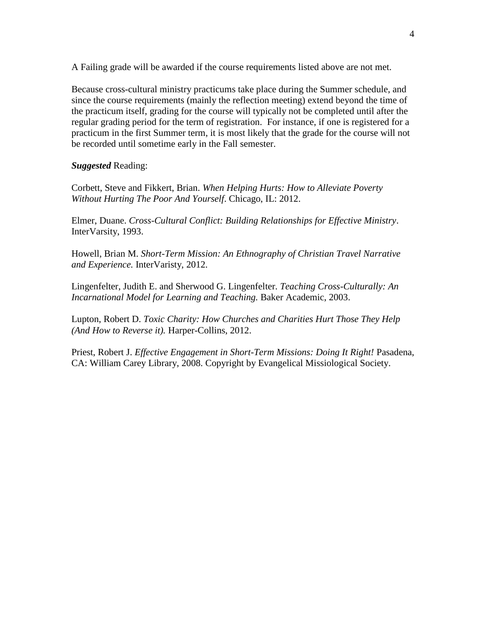A Failing grade will be awarded if the course requirements listed above are not met.

Because cross-cultural ministry practicums take place during the Summer schedule, and since the course requirements (mainly the reflection meeting) extend beyond the time of the practicum itself, grading for the course will typically not be completed until after the regular grading period for the term of registration. For instance, if one is registered for a practicum in the first Summer term, it is most likely that the grade for the course will not be recorded until sometime early in the Fall semester.

*Suggested* Reading:

Corbett, Steve and Fikkert, Brian. *When Helping Hurts: How to Alleviate Poverty Without Hurting The Poor And Yourself*. Chicago, IL: 2012.

Elmer, Duane. *Cross-Cultural Conflict: Building Relationships for Effective Ministry*. InterVarsity, 1993.

Howell, Brian M. *Short-Term Mission: An Ethnography of Christian Travel Narrative and Experience.* InterVaristy, 2012.

Lingenfelter, Judith E. and Sherwood G. Lingenfelter. *Teaching Cross-Culturally: An Incarnational Model for Learning and Teaching.* Baker Academic, 2003.

Lupton, Robert D. *Toxic Charity: How Churches and Charities Hurt Those They Help (And How to Reverse it).* Harper-Collins, 2012.

Priest, Robert J. *Effective Engagement in Short-Term Missions: Doing It Right!* Pasadena, CA: William Carey Library, 2008. Copyright by Evangelical Missiological Society.